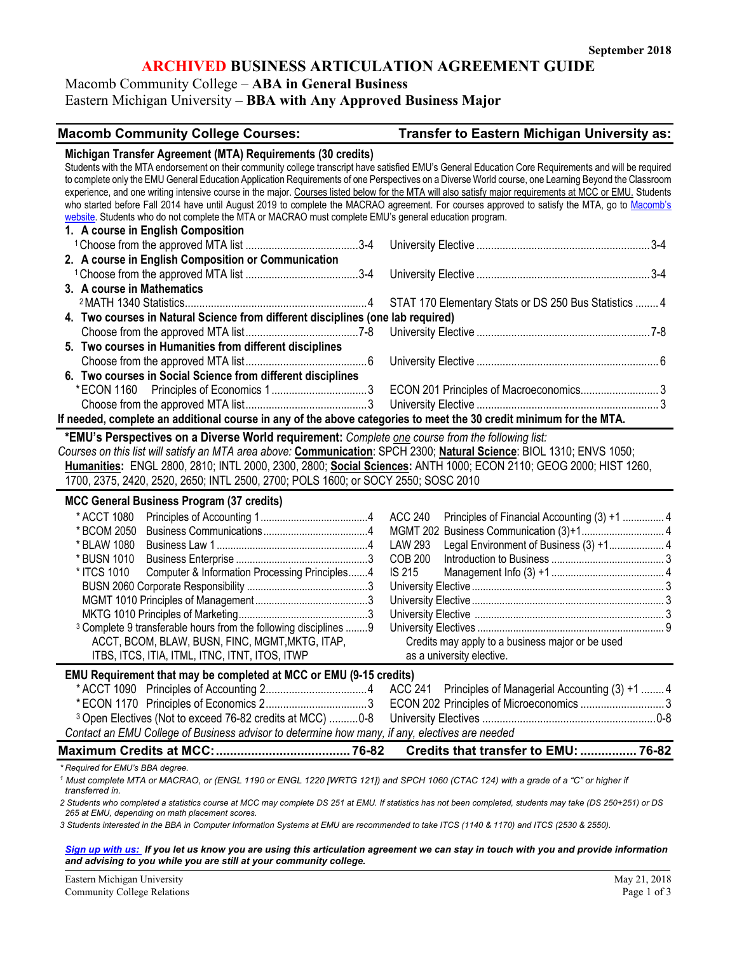# **ARCHIVED BUSINESS ARTICULATION AGREEMENT GUIDE**

Macomb Community College – **ABA in General Business**

Eastern Michigan University – **BBA with Any Approved Business Major**

#### **Macomb Community College Courses: Transfer to Eastern Michigan University as:**

| Michigan Transfer Agreement (MTA) Requirements (30 credits)                                                                                              |                                                                                                                  |
|----------------------------------------------------------------------------------------------------------------------------------------------------------|------------------------------------------------------------------------------------------------------------------|
| Students with the MTA endorsement on their community college transcript have satisfied EMU's General Education Core Requirements and will be required    |                                                                                                                  |
| to complete only the EMU General Education Application Requirements of one Perspectives on a Diverse World course, one Learning Beyond the Classroom     |                                                                                                                  |
| experience, and one writing intensive course in the major. Courses listed below for the MTA will also satisfy major requirements at MCC or EMU. Students |                                                                                                                  |
| who started before Fall 2014 have until August 2019 to complete the MACRAO agreement. For courses approved to satisfy the MTA, go to Macomb's            |                                                                                                                  |
| website. Students who do not complete the MTA or MACRAO must complete EMU's general education program.                                                   |                                                                                                                  |
| 1. A course in English Composition                                                                                                                       |                                                                                                                  |
|                                                                                                                                                          |                                                                                                                  |
| 2. A course in English Composition or Communication                                                                                                      |                                                                                                                  |
|                                                                                                                                                          |                                                                                                                  |
| 3. A course in Mathematics                                                                                                                               |                                                                                                                  |
|                                                                                                                                                          | STAT 170 Elementary Stats or DS 250 Bus Statistics  4                                                            |
| 4. Two courses in Natural Science from different disciplines (one lab required)                                                                          |                                                                                                                  |
|                                                                                                                                                          |                                                                                                                  |
| 5. Two courses in Humanities from different disciplines                                                                                                  |                                                                                                                  |
|                                                                                                                                                          |                                                                                                                  |
| 6. Two courses in Social Science from different disciplines                                                                                              |                                                                                                                  |
|                                                                                                                                                          | ECON 201 Principles of Macroeconomics 3                                                                          |
|                                                                                                                                                          |                                                                                                                  |
| If needed, complete an additional course in any of the above categories to meet the 30 credit minimum for the MTA.                                       |                                                                                                                  |
|                                                                                                                                                          |                                                                                                                  |
| *EMU's Perspectives on a Diverse World requirement: Complete one course from the following list:                                                         |                                                                                                                  |
| Courses on this list will satisfy an MTA area above: Communication: SPCH 2300; Natural Science: BIOL 1310; ENVS 1050;                                    |                                                                                                                  |
|                                                                                                                                                          |                                                                                                                  |
|                                                                                                                                                          | Humanities: ENGL 2800, 2810; INTL 2000, 2300, 2800; Social Sciences: ANTH 1000; ECON 2110; GEOG 2000; HIST 1260, |
| 1700, 2375, 2420, 2520, 2650; INTL 2500, 2700; POLS 1600; or SOCY 2550; SOSC 2010                                                                        |                                                                                                                  |
| <b>MCC General Business Program (37 credits)</b>                                                                                                         |                                                                                                                  |
|                                                                                                                                                          |                                                                                                                  |
| * ACCT 1080                                                                                                                                              | <b>ACC 240</b><br>Principles of Financial Accounting (3) +1  4                                                   |
|                                                                                                                                                          |                                                                                                                  |
| * BLAW 1080                                                                                                                                              | Legal Environment of Business (3) +1 4<br>LAW 293                                                                |
| * BUSN 1010                                                                                                                                              | <b>COB 200</b>                                                                                                   |
| * ITCS 1010<br>Computer & Information Processing Principles4                                                                                             | <b>IS 215</b>                                                                                                    |
|                                                                                                                                                          |                                                                                                                  |
|                                                                                                                                                          |                                                                                                                  |
|                                                                                                                                                          |                                                                                                                  |
| <sup>3</sup> Complete 9 transferable hours from the following disciplines 9                                                                              |                                                                                                                  |
| ACCT, BCOM, BLAW, BUSN, FINC, MGMT, MKTG, ITAP,                                                                                                          | Credits may apply to a business major or be used                                                                 |
| ITBS, ITCS, ITIA, ITML, ITNC, ITNT, ITOS, ITWP                                                                                                           | as a university elective.                                                                                        |
| EMU Requirement that may be completed at MCC or EMU (9-15 credits)                                                                                       |                                                                                                                  |
|                                                                                                                                                          | ACC 241 Principles of Managerial Accounting (3) +1  4                                                            |
|                                                                                                                                                          | ECON 202 Principles of Microeconomics 3                                                                          |
| <sup>3</sup> Open Electives (Not to exceed 76-82 credits at MCC) 0-8                                                                                     |                                                                                                                  |
| Contact an EMU College of Business advisor to determine how many, if any, electives are needed                                                           |                                                                                                                  |
|                                                                                                                                                          | Credits that transfer to EMU:  76-82                                                                             |

<sup>1</sup> Must complete MTA or MACRAO, or (ENGL 1190 or ENGL 1220 [WRTG 121]) and SPCH 1060 (CTAC 124) with a grade of a "C" or higher if *transferred in.* 

*2 Students who completed a statistics course at MCC may complete DS 251 at EMU. If statistics has not been completed, students may take (DS 250+251) or DS 265 at EMU, depending on math placement scores.* 

*3 Students interested in the BBA in Computer Information Systems at EMU are recommended to take ITCS (1140 & 1170) and ITCS (2530 & 2550).* 

*[Sign up with us:](https://www.emich.edu/ccr/articulation-agreements/signup.php) If you let us know you are using this articulation agreement we can stay in touch with you and provide information and advising to you while you are still at your community college.*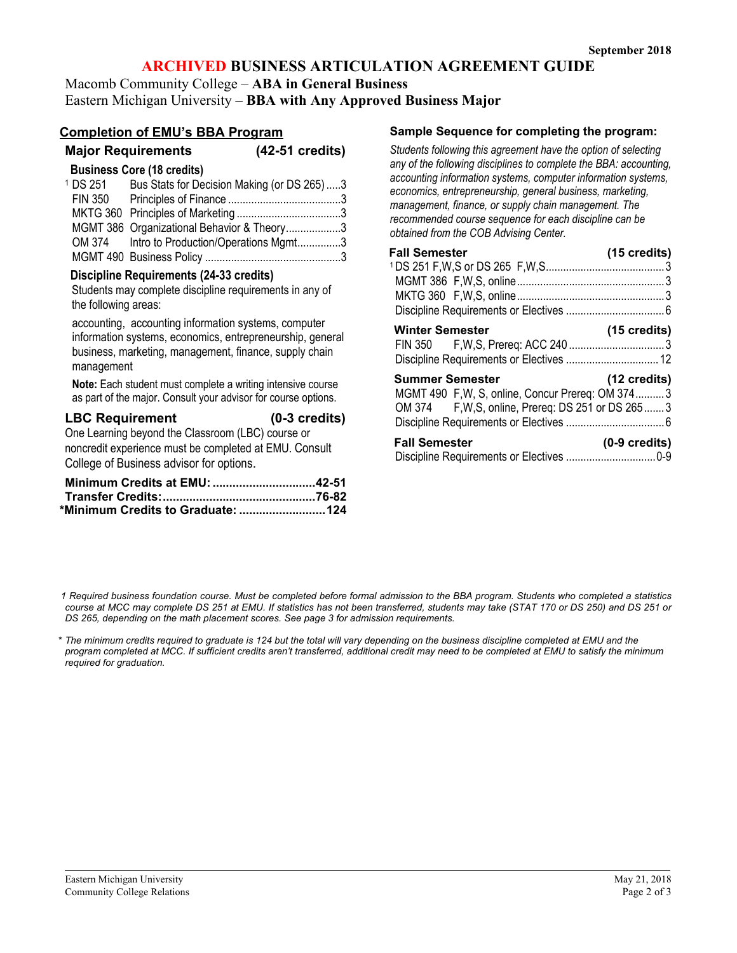# **ARCHIVED BUSINESS ARTICULATION AGREEMENT GUIDE**

Macomb Community College – **ABA in General Business** Eastern Michigan University – **BBA with Any Approved Business Major**

# **Completion of EMU's BBA Program**

|                        | ompiedon of EMO S DDA Program                                                                                                                                               |                         |  |
|------------------------|-----------------------------------------------------------------------------------------------------------------------------------------------------------------------------|-------------------------|--|
|                        | <b>Major Requirements</b>                                                                                                                                                   | $(42-51$ credits)       |  |
|                        | <b>Business Core (18 credits)</b>                                                                                                                                           |                         |  |
| <sup>1</sup> DS 251    | Bus Stats for Decision Making (or DS 265)3                                                                                                                                  |                         |  |
|                        |                                                                                                                                                                             |                         |  |
|                        | MGMT 386 Organizational Behavior & Theory3                                                                                                                                  |                         |  |
|                        | OM 374 Intro to Production/Operations Mgmt3                                                                                                                                 |                         |  |
|                        |                                                                                                                                                                             |                         |  |
| the following areas:   | Discipline Requirements (24-33 credits)<br>Students may complete discipline requirements in any of                                                                          |                         |  |
| management             | accounting, accounting information systems, computer<br>information systems, economics, entrepreneurship, general<br>business, marketing, management, finance, supply chain |                         |  |
|                        | Note: Each student must complete a writing intensive course<br>as part of the major. Consult your advisor for course options.                                               |                         |  |
| <b>LBC Requirement</b> | One Learning beyond the Classroom (LBC) course or<br>noncredit experience must be completed at EMU. Consult<br>College of Business advisor for options.                     | $(0-3 \text{ credits})$ |  |

| Minimum Credits at EMU: 42-51     |  |
|-----------------------------------|--|
|                                   |  |
| *Minimum Credits to Graduate: 124 |  |

### **Sample Sequence for completing the program:**

*Students following this agreement have the option of selecting any of the following disciplines to complete the BBA: accounting, accounting information systems, computer information systems, economics, entrepreneurship, general business, marketing, management, finance, or supply chain management. The recommended course sequence for each discipline can be obtained from the COB Advising Center.*

| <b>Fall Semester</b>                               | (15 credits)            |
|----------------------------------------------------|-------------------------|
|                                                    |                         |
|                                                    |                         |
|                                                    |                         |
|                                                    |                         |
| <b>Winter Semester</b>                             | $(15 \text{ credits})$  |
|                                                    |                         |
|                                                    |                         |
| <b>Summer Semester</b>                             | $(12 \text{ credits})$  |
| MGMT 490 F, W, S, online, Concur Prereq: OM 3743   |                         |
| OM 374 F, W, S, online, Prereq: DS 251 or DS 265 3 |                         |
|                                                    |                         |
| <b>Fall Semester</b>                               | $(0-9 \text{ credits})$ |
|                                                    |                         |

*1 Required business foundation course. Must be completed before formal admission to the BBA program. Students who completed a statistics course at MCC may complete DS 251 at EMU. If statistics has not been transferred, students may take (STAT 170 or DS 250) and DS 251 or DS 265, depending on the math placement scores. See page 3 for admission requirements.* 

*\* The minimum credits required to graduate is 124 but the total will vary depending on the business discipline completed at EMU and the program completed at MCC. If sufficient credits aren't transferred, additional credit may need to be completed at EMU to satisfy the minimum required for graduation.*